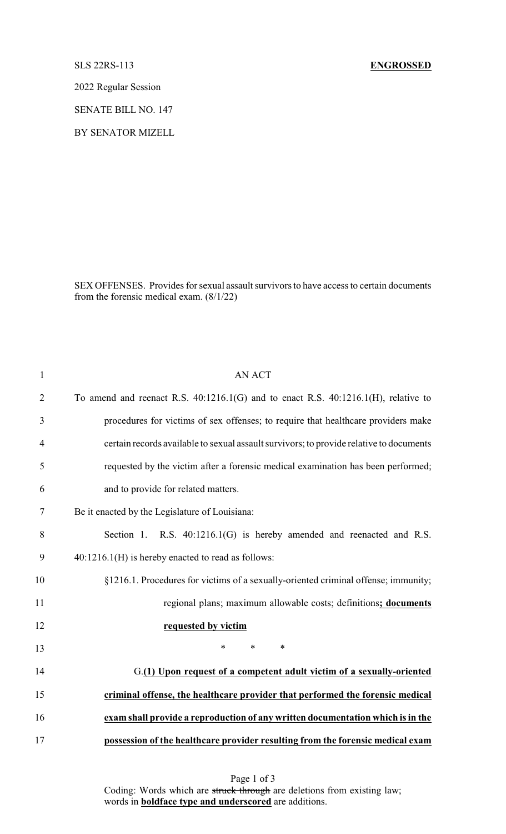## SLS 22RS-113 **ENGROSSED**

2022 Regular Session

SENATE BILL NO. 147

BY SENATOR MIZELL

SEX OFFENSES. Provides for sexual assault survivors to have access to certain documents from the forensic medical exam. (8/1/22)

| $\mathbf{1}$   | <b>AN ACT</b>                                                                           |
|----------------|-----------------------------------------------------------------------------------------|
| $\overline{2}$ | To amend and reenact R.S. $40:1216.1(G)$ and to enact R.S. $40:1216.1(H)$ , relative to |
| 3              | procedures for victims of sex offenses; to require that healthcare providers make       |
| 4              | certain records available to sexual assault survivors; to provide relative to documents |
| 5              | requested by the victim after a forensic medical examination has been performed;        |
| 6              | and to provide for related matters.                                                     |
| 7              | Be it enacted by the Legislature of Louisiana:                                          |
| 8              | Section 1. R.S. $40:1216.1(G)$ is hereby amended and reenacted and R.S.                 |
| 9              | $40:1216.1(H)$ is hereby enacted to read as follows:                                    |
| 10             | §1216.1. Procedures for victims of a sexually-oriented criminal offense; immunity;      |
| 11             | regional plans; maximum allowable costs; definitions; documents                         |
| 12             | requested by victim                                                                     |
| 13             | $\ast$<br>$\ast$<br>$\ast$                                                              |
| 14             | G.(1) Upon request of a competent adult victim of a sexually-oriented                   |
| 15             | criminal offense, the healthcare provider that performed the forensic medical           |
| 16             | exam shall provide a reproduction of any written documentation which is in the          |
| 17             | possession of the healthcare provider resulting from the forensic medical exam          |

Page 1 of 3 Coding: Words which are struck through are deletions from existing law; words in **boldface type and underscored** are additions.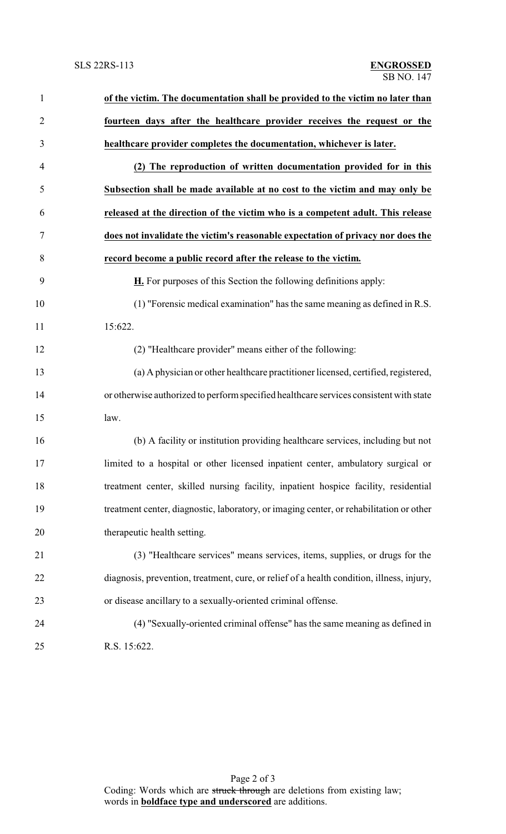| $\mathbf{1}$   | of the victim. The documentation shall be provided to the victim no later than            |
|----------------|-------------------------------------------------------------------------------------------|
| $\overline{2}$ | fourteen days after the healthcare provider receives the request or the                   |
| 3              | healthcare provider completes the documentation, whichever is later.                      |
| $\overline{4}$ | (2) The reproduction of written documentation provided for in this                        |
| 5              | Subsection shall be made available at no cost to the victim and may only be               |
| 6              | released at the direction of the victim who is a competent adult. This release            |
| 7              | does not invalidate the victim's reasonable expectation of privacy nor does the           |
| 8              | record become a public record after the release to the victim.                            |
| 9              | <b>H.</b> For purposes of this Section the following definitions apply:                   |
| 10             | (1) "Forensic medical examination" has the same meaning as defined in R.S.                |
| 11             | 15:622.                                                                                   |
| 12             | (2) "Healthcare provider" means either of the following:                                  |
| 13             | (a) A physician or other healthcare practitioner licensed, certified, registered,         |
| 14             | or otherwise authorized to perform specified healthcare services consistent with state    |
| 15             | law.                                                                                      |
| 16             | (b) A facility or institution providing healthcare services, including but not            |
| 17             | limited to a hospital or other licensed inpatient center, ambulatory surgical or          |
| 18             | treatment center, skilled nursing facility, inpatient hospice facility, residential       |
| 19             | treatment center, diagnostic, laboratory, or imaging center, or rehabilitation or other   |
| 20             | therapeutic health setting.                                                               |
| 21             | (3) "Healthcare services" means services, items, supplies, or drugs for the               |
| 22             | diagnosis, prevention, treatment, cure, or relief of a health condition, illness, injury, |
| 23             | or disease ancillary to a sexually-oriented criminal offense.                             |
| 24             | (4) "Sexually-oriented criminal offense" has the same meaning as defined in               |
| 25             | R.S. 15:622.                                                                              |